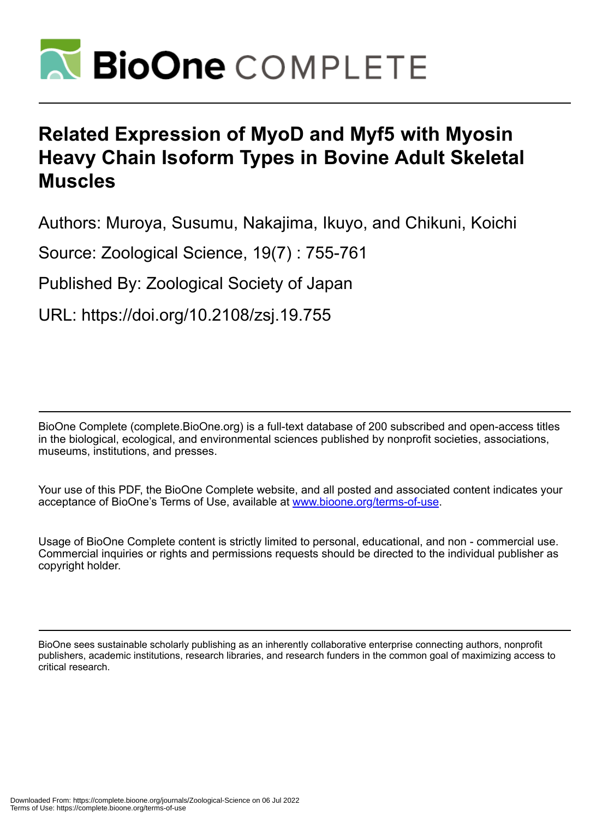

# **Related Expression of MyoD and Myf5 with Myosin Heavy Chain Isoform Types in Bovine Adult Skeletal Muscles**

Authors: Muroya, Susumu, Nakajima, Ikuyo, and Chikuni, Koichi

Source: Zoological Science, 19(7) : 755-761

Published By: Zoological Society of Japan

URL: https://doi.org/10.2108/zsj.19.755

BioOne Complete (complete.BioOne.org) is a full-text database of 200 subscribed and open-access titles in the biological, ecological, and environmental sciences published by nonprofit societies, associations, museums, institutions, and presses.

Your use of this PDF, the BioOne Complete website, and all posted and associated content indicates your acceptance of BioOne's Terms of Use, available at www.bioone.org/terms-of-use.

Usage of BioOne Complete content is strictly limited to personal, educational, and non - commercial use. Commercial inquiries or rights and permissions requests should be directed to the individual publisher as copyright holder.

BioOne sees sustainable scholarly publishing as an inherently collaborative enterprise connecting authors, nonprofit publishers, academic institutions, research libraries, and research funders in the common goal of maximizing access to critical research.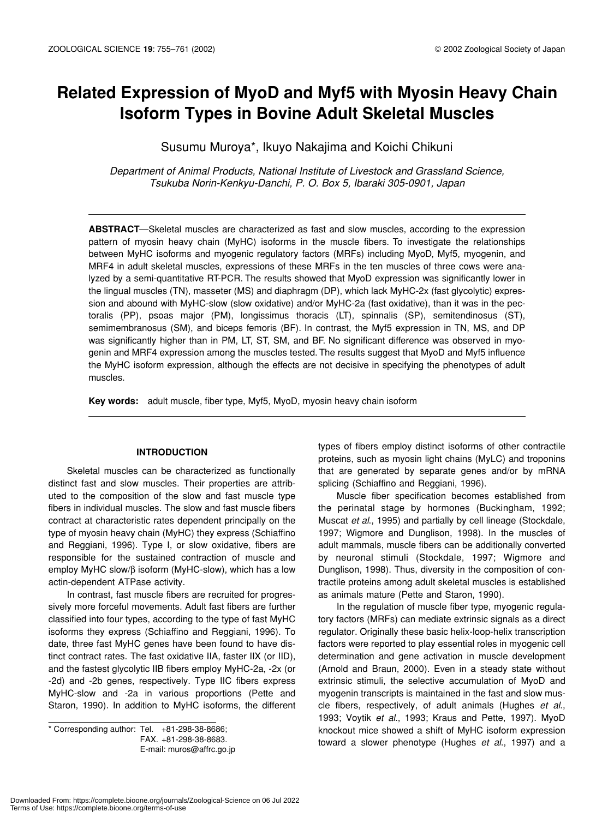# **Related Expression of MyoD and Myf5 with Myosin Heavy Chain Isoform Types in Bovine Adult Skeletal Muscles**

Susumu Muroya\*, Ikuyo Nakajima and Koichi Chikuni

*Department of Animal Products, National Institute of Livestock and Grassland Science, Tsukuba Norin-Kenkyu-Danchi, P. O. Box 5, Ibaraki 305-0901, Japan*

**ABSTRACT**—Skeletal muscles are characterized as fast and slow muscles, according to the expression pattern of myosin heavy chain (MyHC) isoforms in the muscle fibers. To investigate the relationships between MyHC isoforms and myogenic regulatory factors (MRFs) including MyoD, Myf5, myogenin, and MRF4 in adult skeletal muscles, expressions of these MRFs in the ten muscles of three cows were analyzed by a semi-quantitative RT-PCR. The results showed that MyoD expression was significantly lower in the lingual muscles (TN), masseter (MS) and diaphragm (DP), which lack MyHC-2x (fast glycolytic) expression and abound with MyHC-slow (slow oxidative) and/or MyHC-2a (fast oxidative), than it was in the pectoralis (PP), psoas major (PM), longissimus thoracis (LT), spinnalis (SP), semitendinosus (ST), semimembranosus (SM), and biceps femoris (BF). In contrast, the Myf5 expression in TN, MS, and DP was significantly higher than in PM, LT, ST, SM, and BF. No significant difference was observed in myogenin and MRF4 expression among the muscles tested. The results suggest that MyoD and Myf5 influence the MyHC isoform expression, although the effects are not decisive in specifying the phenotypes of adult muscles.

**Key words:** adult muscle, fiber type, Myf5, MyoD, myosin heavy chain isoform

#### **INTRODUCTION**

Skeletal muscles can be characterized as functionally distinct fast and slow muscles. Their properties are attributed to the composition of the slow and fast muscle type fibers in individual muscles. The slow and fast muscle fibers contract at characteristic rates dependent principally on the type of myosin heavy chain (MyHC) they express (Schiaffino and Reggiani, 1996). Type I, or slow oxidative, fibers are responsible for the sustained contraction of muscle and employ MyHC slow/β isoform (MyHC-slow), which has a low actin-dependent ATPase activity.

In contrast, fast muscle fibers are recruited for progressively more forceful movements. Adult fast fibers are further classified into four types, according to the type of fast MyHC isoforms they express (Schiaffino and Reggiani, 1996). To date, three fast MyHC genes have been found to have distinct contract rates. The fast oxidative IIA, faster IIX (or IID), and the fastest glycolytic IIB fibers employ MyHC-2a, -2x (or -2d) and -2b genes, respectively. Type IIC fibers express MyHC-slow and -2a in various proportions (Pette and Staron, 1990). In addition to MyHC isoforms, the different

\* Corresponding author: Tel. +81-298-38-8686; FAX. +81-298-38-8683. E-mail: muros@affrc.go.jp types of fibers employ distinct isoforms of other contractile proteins, such as myosin light chains (MyLC) and troponins that are generated by separate genes and/or by mRNA splicing (Schiaffino and Reggiani, 1996).

Muscle fiber specification becomes established from the perinatal stage by hormones (Buckingham, 1992; Muscat *et al*., 1995) and partially by cell lineage (Stockdale, 1997; Wigmore and Dunglison, 1998). In the muscles of adult mammals, muscle fibers can be additionally converted by neuronal stimuli (Stockdale, 1997; Wigmore and Dunglison, 1998). Thus, diversity in the composition of contractile proteins among adult skeletal muscles is established as animals mature (Pette and Staron, 1990).

In the regulation of muscle fiber type, myogenic regulatory factors (MRFs) can mediate extrinsic signals as a direct regulator. Originally these basic helix-loop-helix transcription factors were reported to play essential roles in myogenic cell determination and gene activation in muscle development (Arnold and Braun, 2000). Even in a steady state without extrinsic stimuli, the selective accumulation of MyoD and myogenin transcripts is maintained in the fast and slow muscle fibers, respectively, of adult animals (Hughes *et al*., 1993; Voytik *et al*., 1993; Kraus and Pette, 1997). MyoD knockout mice showed a shift of MyHC isoform expression toward a slower phenotype (Hughes *et al*., 1997) and a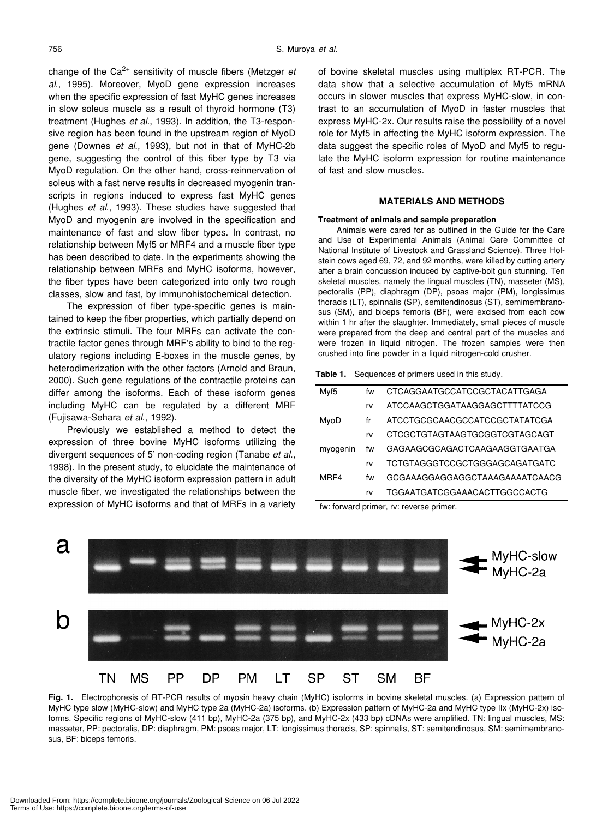change of the Ca2+ sensitivity of muscle fibers (Metzger *et al*., 1995). Moreover, MyoD gene expression increases when the specific expression of fast MyHC genes increases in slow soleus muscle as a result of thyroid hormone (T3) treatment (Hughes *et al*., 1993). In addition, the T3-responsive region has been found in the upstream region of MyoD gene (Downes *et al*., 1993), but not in that of MyHC-2b gene, suggesting the control of this fiber type by T3 via MyoD regulation. On the other hand, cross-reinnervation of soleus with a fast nerve results in decreased myogenin transcripts in regions induced to express fast MyHC genes (Hughes *et al*., 1993). These studies have suggested that MyoD and myogenin are involved in the specification and maintenance of fast and slow fiber types. In contrast, no relationship between Myf5 or MRF4 and a muscle fiber type has been described to date. In the experiments showing the relationship between MRFs and MyHC isoforms, however, the fiber types have been categorized into only two rough classes, slow and fast, by immunohistochemical detection.

The expression of fiber type-specific genes is maintained to keep the fiber properties, which partially depend on the extrinsic stimuli. The four MRFs can activate the contractile factor genes through MRF's ability to bind to the regulatory regions including E-boxes in the muscle genes, by heterodimerization with the other factors (Arnold and Braun, 2000). Such gene regulations of the contractile proteins can differ among the isoforms. Each of these isoform genes including MyHC can be regulated by a different MRF (Fujisawa-Sehara *et al*., 1992).

Previously we established a method to detect the expression of three bovine MyHC isoforms utilizing the divergent sequences of 5' non-coding region (Tanabe *et al*., 1998). In the present study, to elucidate the maintenance of the diversity of the MyHC isoform expression pattern in adult muscle fiber, we investigated the relationships between the expression of MyHC isoforms and that of MRFs in a variety of bovine skeletal muscles using multiplex RT-PCR. The data show that a selective accumulation of Myf5 mRNA occurs in slower muscles that express MyHC-slow, in contrast to an accumulation of MyoD in faster muscles that express MyHC-2x. Our results raise the possibility of a novel role for Myf5 in affecting the MyHC isoform expression. The data suggest the specific roles of MyoD and Myf5 to regulate the MyHC isoform expression for routine maintenance of fast and slow muscles.

#### **MATERIALS AND METHODS**

#### **Treatment of animals and sample preparation**

Animals were cared for as outlined in the Guide for the Care and Use of Experimental Animals (Animal Care Committee of National Institute of Livestock and Grassland Science). Three Holstein cows aged 69, 72, and 92 months, were killed by cutting artery after a brain concussion induced by captive-bolt gun stunning. Ten skeletal muscles, namely the lingual muscles (TN), masseter (MS), pectoralis (PP), diaphragm (DP), psoas major (PM), longissimus thoracis (LT), spinnalis (SP), semitendinosus (ST), semimembranosus (SM), and biceps femoris (BF), were excised from each cow within 1 hr after the slaughter. Immediately, small pieces of muscle were prepared from the deep and central part of the muscles and were frozen in liquid nitrogen. The frozen samples were then crushed into fine powder in a liquid nitrogen-cold crusher.

**Table 1.** Sequences of primers used in this study.

| Myf5     | fw | CTCAGGAATGCCATCCGCTACATTGAGA   |  |  |  |  |
|----------|----|--------------------------------|--|--|--|--|
|          | rv | ATCCAAGCTGGATAAGGAGCTTTTATCCG  |  |  |  |  |
| MyoD     | fr | ATCCTGCGCAACGCCATCCGCTATATCGA  |  |  |  |  |
|          | rv | CTCGCTGTAGTAAGTGCGGTCGTAGCAGT  |  |  |  |  |
| myogenin | fw | GAGAAGCGCAGACTCAAGAAGGTGAATGA  |  |  |  |  |
|          | rv | TCTGTAGGGTCCGCTGGGAGCAGATGATC  |  |  |  |  |
| MRF4     | fw | GCGAAAGGAGGAGGCTAAAGAAAATCAACG |  |  |  |  |
|          | rv | TGGAATGATCGGAAACACTTGGCCACTG   |  |  |  |  |

fw: forward primer, rv: reverse primer.



**Fig. 1.** Electrophoresis of RT-PCR results of myosin heavy chain (MyHC) isoforms in bovine skeletal muscles. (a) Expression pattern of MyHC type slow (MyHC-slow) and MyHC type 2a (MyHC-2a) isoforms. (b) Expression pattern of MyHC-2a and MyHC type IIx (MyHC-2x) isoforms. Specific regions of MyHC-slow (411 bp), MyHC-2a (375 bp), and MyHC-2x (433 bp) cDNAs were amplified. TN: lingual muscles, MS: masseter, PP: pectoralis, DP: diaphragm, PM: psoas major, LT: longissimus thoracis, SP: spinnalis, ST: semitendinosus, SM: semimembranosus, BF: biceps femoris.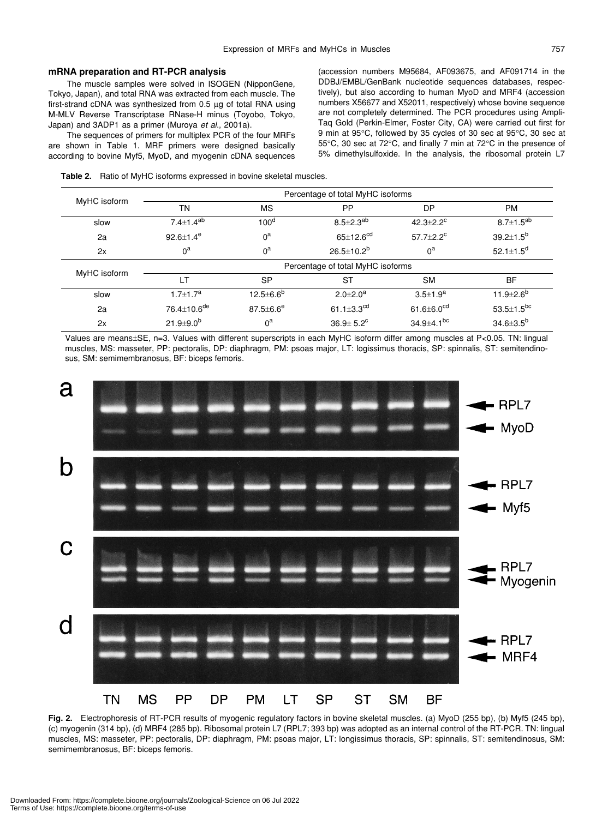#### **mRNA preparation and RT-PCR analysis**

The muscle samples were solved in ISOGEN (NipponGene, Tokyo, Japan), and total RNA was extracted from each muscle. The first-strand cDNA was synthesized from 0.5 µg of total RNA using M-MLV Reverse Transcriptase RNase-H minus (Toyobo, Tokyo, Japan) and 3ADP1 as a primer (Muroya *et al*., 2001a).

The sequences of primers for multiplex PCR of the four MRFs are shown in Table 1. MRF primers were designed basically according to bovine Myf5, MyoD, and myogenin cDNA sequences (accession numbers M95684, AF093675, and AF091714 in the DDBJ/EMBL/GenBank nucleotide sequences databases, respectively), but also according to human MyoD and MRF4 (accession numbers X56677 and X52011, respectively) whose bovine sequence are not completely determined. The PCR procedures using Ampli-Taq Gold (Perkin-Elmer, Foster City, CA) were carried out first for 9 min at 95°C, followed by 35 cycles of 30 sec at 95°C, 30 sec at 55°C, 30 sec at 72°C, and finally 7 min at 72°C in the presence of 5% dimethylsulfoxide. In the analysis, the ribosomal protein L7

|  | Table 2. Ratio of MyHC isoforms expressed in bovine skeletal muscles. |
|--|-----------------------------------------------------------------------|
|--|-----------------------------------------------------------------------|

|              | Percentage of total MyHC isoforms |                  |                             |                             |                             |  |  |
|--------------|-----------------------------------|------------------|-----------------------------|-----------------------------|-----------------------------|--|--|
| MyHC isoform | TN                                | <b>MS</b>        | PP                          | <b>DP</b>                   | <b>PM</b>                   |  |  |
| slow         | $7.4 \pm 1.4^{ab}$                | 100 <sup>d</sup> | $8.5 \pm 2.3^{ab}$          | $42.3 \pm 2.2$ <sup>c</sup> | $8.7 \pm 1.5^{ab}$          |  |  |
| 2a           | 92.6 $\pm$ 1.4 $^{\circ}$         | $0^a$            | $65 \pm 12.6$ <sup>cd</sup> | $57.7 \pm 2.2$ <sup>c</sup> | $39.2 \pm 1.5^b$            |  |  |
| 2x           | $0^a$                             | $0^a$            | $26.5 \pm 10.2^b$           | $0^a$                       | 52.1 $\pm$ 1.5 <sup>d</sup> |  |  |
| MyHC isoform | Percentage of total MyHC isoforms |                  |                             |                             |                             |  |  |
|              | LT                                | <b>SP</b>        | <b>ST</b>                   | <b>SM</b>                   | <b>BF</b>                   |  |  |
| slow         | $1.7 \pm 1.7^a$                   | $12.5 \pm 6.6^b$ | $2.0 \pm 2.0^a$             | $3.5 \pm 1.9^a$             | 11.9 $\pm$ 2.6 <sup>b</sup> |  |  |
| 2a           | 76.4±10.6 <sup>de</sup>           | $87.5 \pm 6.6^e$ | 61.1 $\pm$ 3.3 $^{cd}$      | 61.6 $\pm$ 6.0 $^{cd}$      | $53.5 \pm 1.5^{bc}$         |  |  |
| 2x           | $21.9 \pm 9.0^{b}$                | $0^a$            | $36.9 + 5.2^c$              | $34.9 + 4.1$ <sup>bc</sup>  | $34.6 \pm 3.5^b$            |  |  |

Values are means±SE, n=3. Values with different superscripts in each MyHC isoform differ among muscles at P<0.05. TN: lingual muscles, MS: masseter, PP: pectoralis, DP: diaphragm, PM: psoas major, LT: logissimus thoracis, SP: spinnalis, ST: semitendinosus, SM: semimembranosus, BF: biceps femoris.



**Fig. 2.** Electrophoresis of RT-PCR results of myogenic regulatory factors in bovine skeletal muscles. (a) MyoD (255 bp), (b) Myf5 (245 bp), (c) myogenin (314 bp), (d) MRF4 (285 bp). Ribosomal protein L7 (RPL7; 393 bp) was adopted as an internal control of the RT-PCR. TN: lingual muscles, MS: masseter, PP: pectoralis, DP: diaphragm, PM: psoas major, LT: longissimus thoracis, SP: spinnalis, ST: semitendinosus, SM: semimembranosus, BF: biceps femoris.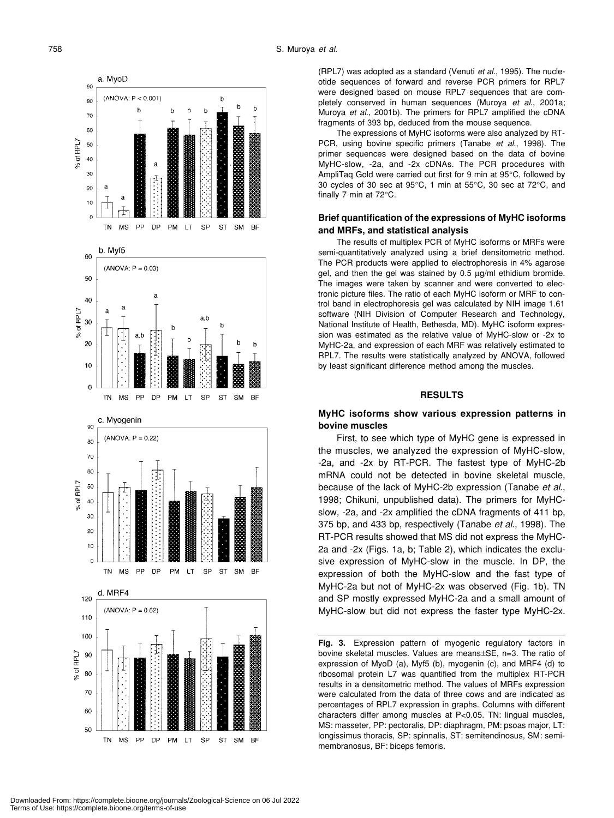a. MvoD

b

**or** 

80

 $7<sup>c</sup>$ 60

% of RPL7 50  $40$ 30  $\overline{2}$  $10$ 







(RPL7) was adopted as a standard (Venuti *et al*., 1995). The nucleotide sequences of forward and reverse PCR primers for RPL7 were designed based on mouse RPL7 sequences that are completely conserved in human sequences (Muroya *et al*., 2001a; Muroya *et al*., 2001b). The primers for RPL7 amplified the cDNA fragments of 393 bp, deduced from the mouse sequence.

The expressions of MyHC isoforms were also analyzed by RT-PCR, using bovine specific primers (Tanabe *et al*., 1998). The primer sequences were designed based on the data of bovine MyHC-slow, -2a, and -2x cDNAs. The PCR procedures with AmpliTaq Gold were carried out first for 9 min at 95°C, followed by 30 cycles of 30 sec at 95°C, 1 min at 55°C, 30 sec at 72°C, and finally 7 min at 72°C.

# **Brief quantification of the expressions of MyHC isoforms and MRFs, and statistical analysis**

The results of multiplex PCR of MyHC isoforms or MRFs were semi-quantitatively analyzed using a brief densitometric method. The PCR products were applied to electrophoresis in 4% agarose gel, and then the gel was stained by 0.5 µg/ml ethidium bromide. The images were taken by scanner and were converted to electronic picture files. The ratio of each MyHC isoform or MRF to control band in electrophoresis gel was calculated by NIH image 1.61 software (NIH Division of Computer Research and Technology, National Institute of Health, Bethesda, MD). MyHC isoform expression was estimated as the relative value of MyHC-slow or -2x to MyHC-2a, and expression of each MRF was relatively estimated to RPL7. The results were statistically analyzed by ANOVA, followed by least significant difference method among the muscles.

#### **RESULTS**

# **MyHC isoforms show various expression patterns in bovine muscles**

First, to see which type of MyHC gene is expressed in the muscles, we analyzed the expression of MyHC-slow, -2a, and -2x by RT-PCR. The fastest type of MyHC-2b mRNA could not be detected in bovine skeletal muscle, because of the lack of MyHC-2b expression (Tanabe *et al*., 1998; Chikuni, unpublished data). The primers for MyHCslow, -2a, and -2x amplified the cDNA fragments of 411 bp, 375 bp, and 433 bp, respectively (Tanabe *et al*., 1998). The RT-PCR results showed that MS did not express the MyHC-2a and -2x (Figs. 1a, b; Table 2), which indicates the exclusive expression of MyHC-slow in the muscle. In DP, the expression of both the MyHC-slow and the fast type of MyHC-2a but not of MyHC-2x was observed (Fig. 1b). TN and SP mostly expressed MyHC-2a and a small amount of MyHC-slow but did not express the faster type MyHC-2x.

**Fig. 3.** Expression pattern of myogenic regulatory factors in bovine skeletal muscles. Values are means±SE, n=3. The ratio of expression of MyoD (a), Myf5 (b), myogenin (c), and MRF4 (d) to ribosomal protein L7 was quantified from the multiplex RT-PCR results in a densitometric method. The values of MRFs expression were calculated from the data of three cows and are indicated as percentages of RPL7 expression in graphs. Columns with different characters differ among muscles at P<0.05. TN: lingual muscles, MS: masseter, PP: pectoralis, DP: diaphragm, PM: psoas major, LT: longissimus thoracis, SP: spinnalis, ST: semitendinosus, SM: semimembranosus, BF: biceps femoris.

Downloaded From: https://complete.bioone.org/journals/Zoological-Science on 06 Jul 2022 Terms of Use: https://complete.bioone.org/terms-of-use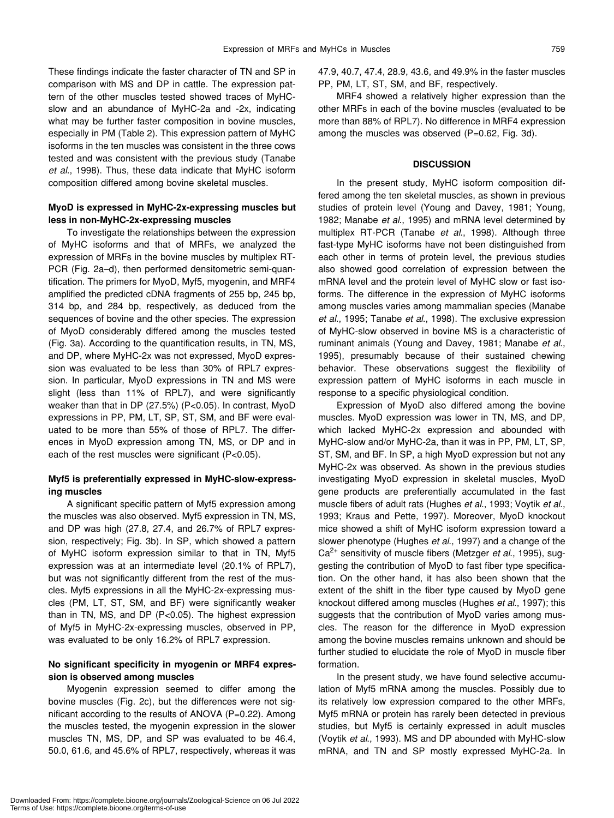These findings indicate the faster character of TN and SP in comparison with MS and DP in cattle. The expression pattern of the other muscles tested showed traces of MyHCslow and an abundance of MyHC-2a and -2x, indicating what may be further faster composition in bovine muscles, especially in PM (Table 2). This expression pattern of MyHC isoforms in the ten muscles was consistent in the three cows tested and was consistent with the previous study (Tanabe *et al*., 1998). Thus, these data indicate that MyHC isoform composition differed among bovine skeletal muscles.

# **MyoD is expressed in MyHC-2x-expressing muscles but less in non-MyHC-2x-expressing muscles**

To investigate the relationships between the expression of MyHC isoforms and that of MRFs, we analyzed the expression of MRFs in the bovine muscles by multiplex RT-PCR (Fig. 2a–d), then performed densitometric semi-quantification. The primers for MyoD, Myf5, myogenin, and MRF4 amplified the predicted cDNA fragments of 255 bp, 245 bp, 314 bp, and 284 bp, respectively, as deduced from the sequences of bovine and the other species. The expression of MyoD considerably differed among the muscles tested (Fig. 3a). According to the quantification results, in TN, MS, and DP, where MyHC-2x was not expressed, MyoD expression was evaluated to be less than 30% of RPL7 expression. In particular, MyoD expressions in TN and MS were slight (less than 11% of RPL7), and were significantly weaker than that in DP (27.5%) (P<0.05). In contrast, MyoD expressions in PP, PM, LT, SP, ST, SM, and BF were evaluated to be more than 55% of those of RPL7. The differences in MyoD expression among TN, MS, or DP and in each of the rest muscles were significant (P<0.05).

# **Myf5 is preferentially expressed in MyHC-slow-expressing muscles**

A significant specific pattern of Myf5 expression among the muscles was also observed. Myf5 expression in TN, MS, and DP was high (27.8, 27.4, and 26.7% of RPL7 expression, respectively; Fig. 3b). In SP, which showed a pattern of MyHC isoform expression similar to that in TN, Myf5 expression was at an intermediate level (20.1% of RPL7), but was not significantly different from the rest of the muscles. Myf5 expressions in all the MyHC-2x-expressing muscles (PM, LT, ST, SM, and BF) were significantly weaker than in TN, MS, and DP (P<0.05). The highest expression of Myf5 in MyHC-2x-expressing muscles, observed in PP, was evaluated to be only 16.2% of RPL7 expression.

# **No significant specificity in myogenin or MRF4 expression is observed among muscles**

Myogenin expression seemed to differ among the bovine muscles (Fig. 2c), but the differences were not significant according to the results of ANOVA (P=0.22). Among the muscles tested, the myogenin expression in the slower muscles TN, MS, DP, and SP was evaluated to be 46.4, 50.0, 61.6, and 45.6% of RPL7, respectively, whereas it was 47.9, 40.7, 47.4, 28.9, 43.6, and 49.9% in the faster muscles PP, PM, LT, ST, SM, and BF, respectively.

MRF4 showed a relatively higher expression than the other MRFs in each of the bovine muscles (evaluated to be more than 88% of RPL7). No difference in MRF4 expression among the muscles was observed (P=0.62, Fig. 3d).

## **DISCUSSION**

In the present study, MyHC isoform composition differed among the ten skeletal muscles, as shown in previous studies of protein level (Young and Davey, 1981; Young, 1982; Manabe *et al*., 1995) and mRNA level determined by multiplex RT-PCR (Tanabe *et al*., 1998). Although three fast-type MyHC isoforms have not been distinguished from each other in terms of protein level, the previous studies also showed good correlation of expression between the mRNA level and the protein level of MyHC slow or fast isoforms. The difference in the expression of MyHC isoforms among muscles varies among mammalian species (Manabe *et al*., 1995; Tanabe *et al*., 1998). The exclusive expression of MyHC-slow observed in bovine MS is a characteristic of ruminant animals (Young and Davey, 1981; Manabe *et al*., 1995), presumably because of their sustained chewing behavior. These observations suggest the flexibility of expression pattern of MyHC isoforms in each muscle in response to a specific physiological condition.

Expression of MyoD also differed among the bovine muscles. MyoD expression was lower in TN, MS, and DP, which lacked MyHC-2x expression and abounded with MyHC-slow and/or MyHC-2a, than it was in PP, PM, LT, SP, ST, SM, and BF. In SP, a high MyoD expression but not any MyHC-2x was observed. As shown in the previous studies investigating MyoD expression in skeletal muscles, MyoD gene products are preferentially accumulated in the fast muscle fibers of adult rats (Hughes *et al*., 1993; Voytik *et al*., 1993; Kraus and Pette, 1997). Moreover, MyoD knockout mice showed a shift of MyHC isoform expression toward a slower phenotype (Hughes *et al*., 1997) and a change of the Ca2+ sensitivity of muscle fibers (Metzger *et al*., 1995), suggesting the contribution of MyoD to fast fiber type specification. On the other hand, it has also been shown that the extent of the shift in the fiber type caused by MyoD gene knockout differed among muscles (Hughes *et al*., 1997); this suggests that the contribution of MyoD varies among muscles. The reason for the difference in MyoD expression among the bovine muscles remains unknown and should be further studied to elucidate the role of MyoD in muscle fiber formation.

In the present study, we have found selective accumulation of Myf5 mRNA among the muscles. Possibly due to its relatively low expression compared to the other MRFs, Myf5 mRNA or protein has rarely been detected in previous studies, but Myf5 is certainly expressed in adult muscles (Voytik *et al*., 1993). MS and DP abounded with MyHC-slow mRNA, and TN and SP mostly expressed MyHC-2a. In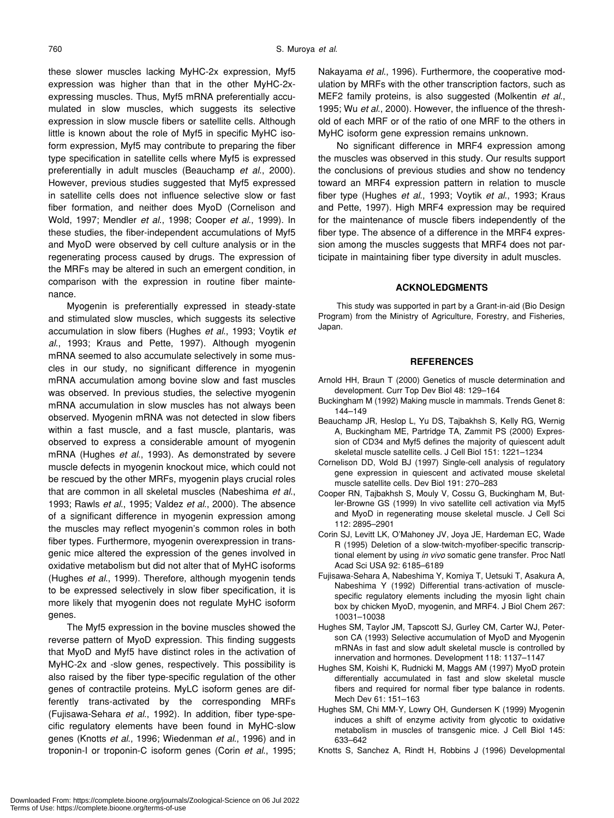these slower muscles lacking MyHC-2x expression, Myf5 expression was higher than that in the other MyHC-2xexpressing muscles. Thus, Myf5 mRNA preferentially accumulated in slow muscles, which suggests its selective expression in slow muscle fibers or satellite cells. Although little is known about the role of Myf5 in specific MyHC isoform expression, Myf5 may contribute to preparing the fiber type specification in satellite cells where Myf5 is expressed preferentially in adult muscles (Beauchamp *et al*., 2000). However, previous studies suggested that Myf5 expressed in satellite cells does not influence selective slow or fast fiber formation, and neither does MyoD (Cornelison and Wold, 1997; Mendler *et al*., 1998; Cooper *et al*., 1999). In these studies, the fiber-independent accumulations of Myf5 and MyoD were observed by cell culture analysis or in the regenerating process caused by drugs. The expression of the MRFs may be altered in such an emergent condition, in comparison with the expression in routine fiber maintenance.

Myogenin is preferentially expressed in steady-state and stimulated slow muscles, which suggests its selective accumulation in slow fibers (Hughes *et al*., 1993; Voytik *et al*., 1993; Kraus and Pette, 1997). Although myogenin mRNA seemed to also accumulate selectively in some muscles in our study, no significant difference in myogenin mRNA accumulation among bovine slow and fast muscles was observed. In previous studies, the selective myogenin mRNA accumulation in slow muscles has not always been observed. Myogenin mRNA was not detected in slow fibers within a fast muscle, and a fast muscle, plantaris, was observed to express a considerable amount of myogenin mRNA (Hughes *et al*., 1993). As demonstrated by severe muscle defects in myogenin knockout mice, which could not be rescued by the other MRFs, myogenin plays crucial roles that are common in all skeletal muscles (Nabeshima *et al*., 1993; Rawls *et al*., 1995; Valdez *et al*., 2000). The absence of a significant difference in myogenin expression among the muscles may reflect myogenin's common roles in both fiber types. Furthermore, myogenin overexpression in transgenic mice altered the expression of the genes involved in oxidative metabolism but did not alter that of MyHC isoforms (Hughes *et al*., 1999). Therefore, although myogenin tends to be expressed selectively in slow fiber specification, it is more likely that myogenin does not regulate MyHC isoform genes.

The Myf5 expression in the bovine muscles showed the reverse pattern of MyoD expression. This finding suggests that MyoD and Myf5 have distinct roles in the activation of MyHC-2x and -slow genes, respectively. This possibility is also raised by the fiber type-specific regulation of the other genes of contractile proteins. MyLC isoform genes are differently trans-activated by the corresponding MRFs (Fujisawa-Sehara *et al*., 1992). In addition, fiber type-specific regulatory elements have been found in MyHC-slow genes (Knotts *et al*., 1996; Wiedenman *et al*., 1996) and in troponin-I or troponin-C isoform genes (Corin *et al*., 1995; Nakayama *et al*., 1996). Furthermore, the cooperative modulation by MRFs with the other transcription factors, such as MEF2 family proteins, is also suggested (Molkentin *et al*., 1995; Wu *et al*., 2000). However, the influence of the threshold of each MRF or of the ratio of one MRF to the others in MyHC isoform gene expression remains unknown.

No significant difference in MRF4 expression among the muscles was observed in this study. Our results support the conclusions of previous studies and show no tendency toward an MRF4 expression pattern in relation to muscle fiber type (Hughes *et al*., 1993; Voytik *et al*., 1993; Kraus and Pette, 1997). High MRF4 expression may be required for the maintenance of muscle fibers independently of the fiber type. The absence of a difference in the MRF4 expression among the muscles suggests that MRF4 does not participate in maintaining fiber type diversity in adult muscles.

#### **ACKNOLEDGMENTS**

This study was supported in part by a Grant-in-aid (Bio Design Program) from the Ministry of Agriculture, Forestry, and Fisheries, Japan.

#### **REFERENCES**

- Arnold HH, Braun T (2000) Genetics of muscle determination and development. Curr Top Dev Biol 48: 129–164
- Buckingham M (1992) Making muscle in mammals. Trends Genet 8: 144–149
- Beauchamp JR, Heslop L, Yu DS, Tajbakhsh S, Kelly RG, Wernig A, Buckingham ME, Partridge TA, Zammit PS (2000) Expression of CD34 and Myf5 defines the majority of quiescent adult skeletal muscle satellite cells. J Cell Biol 151: 1221–1234
- Cornelison DD, Wold BJ (1997) Single-cell analysis of regulatory gene expression in quiescent and activated mouse skeletal muscle satellite cells. Dev Biol 191: 270–283
- Cooper RN, Tajbakhsh S, Mouly V, Cossu G, Buckingham M, Butler-Browne GS (1999) In vivo satellite cell activation via Myf5 and MyoD in regenerating mouse skeletal muscle. J Cell Sci 112: 2895–2901
- Corin SJ, Levitt LK, O'Mahoney JV, Joya JE, Hardeman EC, Wade R (1995) Deletion of a slow-twitch-myofiber-specific transcriptional element by using *in vivo* somatic gene transfer. Proc Natl Acad Sci USA 92: 6185–6189
- Fujisawa-Sehara A, Nabeshima Y, Komiya T, Uetsuki T, Asakura A, Nabeshima Y (1992) Differential trans-activation of musclespecific regulatory elements including the myosin light chain box by chicken MyoD, myogenin, and MRF4. J Biol Chem 267: 10031–10038
- Hughes SM, Taylor JM, Tapscott SJ, Gurley CM, Carter WJ, Peterson CA (1993) Selective accumulation of MyoD and Myogenin mRNAs in fast and slow adult skeletal muscle is controlled by innervation and hormones. Development 118: 1137–1147
- Hughes SM, Koishi K, Rudnicki M, Maggs AM (1997) MyoD protein differentially accumulated in fast and slow skeletal muscle fibers and required for normal fiber type balance in rodents. Mech Dev 61: 151–163
- Hughes SM, Chi MM-Y, Lowry OH, Gundersen K (1999) Myogenin induces a shift of enzyme activity from glycotic to oxidative metabolism in muscles of transgenic mice. J Cell Biol 145: 633–642
- Knotts S, Sanchez A, Rindt H, Robbins J (1996) Developmental